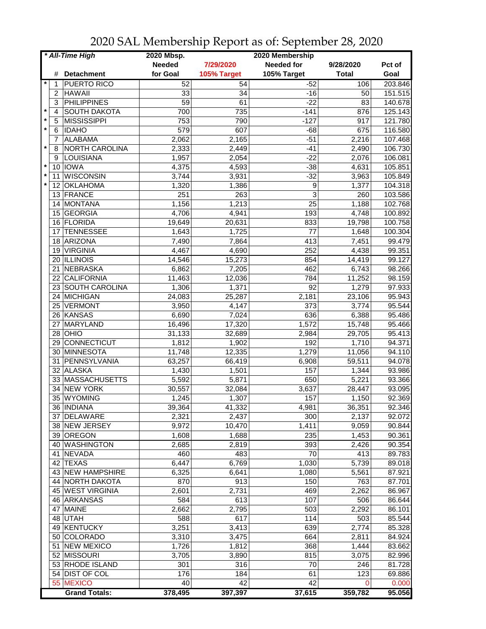|         |    | * All-Time High       | 2020 Mbsp.    |             | 2020 Membership   |              |                      |
|---------|----|-----------------------|---------------|-------------|-------------------|--------------|----------------------|
|         |    |                       | <b>Needed</b> | 7/29/2020   | <b>Needed for</b> | 9/28/2020    | Pct of               |
|         | #  | <b>Detachment</b>     | for Goal      | 105% Target | 105% Target       | <b>Total</b> | Goal                 |
| $\ast$  | 1  | <b>PUERTO RICO</b>    | 52            | 54          | $-52$             | 106          | 203.846              |
|         | 2  | <b>HAWAII</b>         | 33            | 34          | $-16$             | 50           | 151.515              |
|         | 3  | PHILIPPINES           | 59            | 61          | $-22$             | 83           | 140.678              |
| $\star$ | 4  | <b>SOUTH DAKOTA</b>   | 700           | 735         | $-141$            | 876          | $\overline{125.143}$ |
| $\star$ | 5  | MISSISSIPPI           | 753           | 790         | $-127$            | 917          | 121.780              |
| $\star$ |    |                       |               |             |                   |              |                      |
|         | 6  | <b>IDAHO</b>          | 579           | 607         | $-68$             | 675          | 116.580              |
| $\star$ | 7  | <b>ALABAMA</b>        | 2,062         | 2,165       | $-51$             | 2,216        | 107.468              |
|         | 8  | <b>NORTH CAROLINA</b> | 2,333         | 2,449       | $-41$             | 2,490        | 106.730              |
|         | 9  | LOUISIANA             | 1,957         | 2,054       | $-22$             | 2,076        | 106.081              |
| $\star$ | 10 | <b>IOWA</b>           | 4,375         | 4,593       | $-38$             | 4,631        | 105.851              |
| $\star$ | 11 | <b>WISCONSIN</b>      | 3,744         | 3,931       | $-32$             | 3,963        | 105.849              |
| $\star$ | 12 | <b>OKLAHOMA</b>       | 1,320         | 1,386       | 9                 | 1,377        | 104.318              |
|         | 13 | FRANCE                | 251           | 263         | 3                 | 260          | 103.586              |
|         | 14 | <b>MONTANA</b>        | 1,156         | 1,213       | 25                | 1,188        | 102.768              |
|         | 15 | <b>GEORGIA</b>        | 4,706         | 4,941       | 193               | 4,748        | 100.892              |
|         | 16 | <b>FLORIDA</b>        | 19,649        | 20,631      | 833               | 19,798       | 100.758              |
|         | 17 | <b>TENNESSEE</b>      | 1,643         | 1,725       | 77                | 1,648        | 100.304              |
|         | 18 | ARIZONA               | 7,490         | 7,864       | 413               | 7,451        | 99.479               |
|         | 19 | <b>VIRGINIA</b>       | 4,467         | 4,690       | 252               | 4,438        | 99.351               |
|         |    | 20 ILLINOIS           | 14,546        | 15,273      | 854               | 14,419       | 99.127               |
|         | 21 | NEBRASKA              | 6,862         | 7,205       | 462               | 6,743        | 98.266               |
|         | 22 | CALIFORNIA            | 11,463        | 12,036      | 784               | 11,252       | 98.159               |
|         | 23 | <b>SOUTH CAROLINA</b> | 1,306         | 1,371       | 92                | 1,279        | 97.933               |
|         |    | 24 MICHIGAN           | 24,083        | 25,287      | 2,181             | 23,106       | 95.943               |
|         | 25 |                       |               |             |                   |              |                      |
|         |    | <b>VERMONT</b>        | 3,950         | 4,147       | 373               | 3,774        | 95.544               |
|         | 26 | KANSAS                | 6,690         | 7,024       | 636               | 6,388        | 95.486               |
|         | 27 | MARYLAND              | 16,496        | 17,320      | 1,572             | 15,748       | 95.466               |
|         | 28 | OHIO                  | 31,133        | 32,689      | 2,984             | 29,705       | 95.413               |
|         | 29 | CONNECTICUT           | 1,812         | 1,902       | 192               | 1,710        | 94.371               |
|         |    | 30 MINNESOTA          | 11,748        | 12,335      | 1,279             | 11,056       | 94.110               |
|         | 31 | PENNSYLVANIA          | 63,257        | 66,419      | 6,908             | 59,511       | 94.078               |
|         | 32 | <b>ALASKA</b>         | 1,430         | 1,501       | 157               | 1,344        | 93.986               |
|         |    | 33 MASSACHUSETTS      | 5,592         | 5,871       | 650               | 5,221        | 93.366               |
|         |    | 34 NEW YORK           | 30,557        | 32,084      | 3,637             | 28,447       | 93.095               |
|         |    | 35 WYOMING            | 1,245         | 1,307       | 157               | 1,150        | 92.369               |
|         |    | 36 INDIANA            | 39,364        | 41,332      | 4,981             | 36,351       | 92.346               |
|         |    | 37 DELAWARE           | 2,321         | 2,437       | 300               | 2,137        | 92.072               |
|         |    | 38 NEW JERSEY         | 9,972         | 10,470      | 1,411             | 9,059        | 90.844               |
|         |    | 39 OREGON             | 1,608         | 1,688       | 235               | 1,453        | 90.361               |
|         |    | 40 WASHINGTON         | 2,685         | 2,819       | 393               | 2,426        | 90.354               |
|         |    | 41 NEVADA             | 460           | 483         | 70                | 413          | 89.783               |
|         | 42 | <b>TEXAS</b>          | 6,447         | 6,769       | 1,030             | 5,739        | 89.018               |
|         |    | 43 NEW HAMPSHIRE      | 6,325         | 6,641       | 1,080             | 5,561        | 87.921               |
|         |    | 44 NORTH DAKOTA       | 870           | 913         | 150               | 763          | 87.701               |
|         |    | 45 WEST VIRGINIA      | 2,601         | 2,731       | 469               | 2,262        | 86.967               |
|         |    | 46 ARKANSAS           | 584           | 613         | 107               | 506          | 86.644               |
|         | 47 | <b>MAINE</b>          | 2,662         | 2,795       | 503               | 2,292        | 86.101               |
|         | 48 | <b>UTAH</b>           | 588           | 617         | 114               | 503          | 85.544               |
|         |    | 49 KENTUCKY           |               | 3,413       | 639               |              | 85.328               |
|         |    |                       | 3,251         |             |                   | 2,774        |                      |
|         |    | 50 COLORADO           | 3,310         | 3,475       | 664               | 2,811        | 84.924               |
|         | 51 | <b>NEW MEXICO</b>     | 1,726         | 1,812       | 368               | 1,444        | 83.662               |
|         |    | 52 MISSOURI           | 3,705         | 3,890       | 815               | 3,075        | 82.996               |
|         |    | 53 RHODE ISLAND       | 301           | 316         | 70                | 246          | 81.728               |
|         |    | 54 DIST OF COL        | 176           | 184         | 61                | 123          | 69.886               |
|         |    | 55 MEXICO             | 40            | 42          | 42                | O            | 0.000                |
|         |    | <b>Grand Totals:</b>  | 378,495       | 397,397     | 37,615            | 359,782      | 95.056               |

2020 SAL Membership Report as of: September 28, 2020